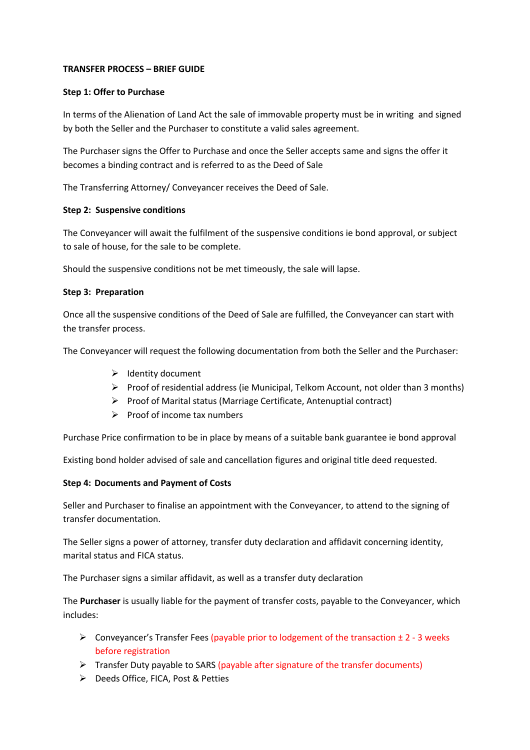# **TRANSFER PROCESS – BRIEF GUIDE**

## **Step 1: Offer to Purchase**

In terms of the Alienation of Land Act the sale of immovable property must be in writing and signed by both the Seller and the Purchaser to constitute a valid sales agreement.

The Purchaser signs the Offer to Purchase and once the Seller accepts same and signs the offer it becomes a binding contract and is referred to as the Deed of Sale

The Transferring Attorney/ Conveyancer receives the Deed of Sale.

# **Step 2: Suspensive conditions**

The Conveyancer will await the fulfilment of the suspensive conditions ie bond approval, or subject to sale of house, for the sale to be complete.

Should the suspensive conditions not be met timeously, the sale will lapse.

# **Step 3: Preparation**

Once all the suspensive conditions of the Deed of Sale are fulfilled, the Conveyancer can start with the transfer process.

The Conveyancer will request the following documentation from both the Seller and the Purchaser:

- $\triangleright$  Identity document
- $\triangleright$  Proof of residential address (ie Municipal, Telkom Account, not older than 3 months)
- $\triangleright$  Proof of Marital status (Marriage Certificate, Antenuptial contract)
- $\triangleright$  Proof of income tax numbers

Purchase Price confirmation to be in place by means of a suitable bank guarantee ie bond approval

Existing bond holder advised of sale and cancellation figures and original title deed requested.

## **Step 4: Documents and Payment of Costs**

Seller and Purchaser to finalise an appointment with the Conveyancer, to attend to the signing of transfer documentation.

The Seller signs a power of attorney, transfer duty declaration and affidavit concerning identity, marital status and FICA status.

The Purchaser signs a similar affidavit, as well as a transfer duty declaration

The **Purchaser** is usually liable for the payment of transfer costs, payable to the Conveyancer, which includes:

- $\triangleright$  Conveyancer's Transfer Fees (payable prior to lodgement of the transaction  $\pm$  2 3 weeks before registration
- $\triangleright$  Transfer Duty payable to SARS (payable after signature of the transfer documents)
- Ø Deeds Office, FICA, Post & Petties